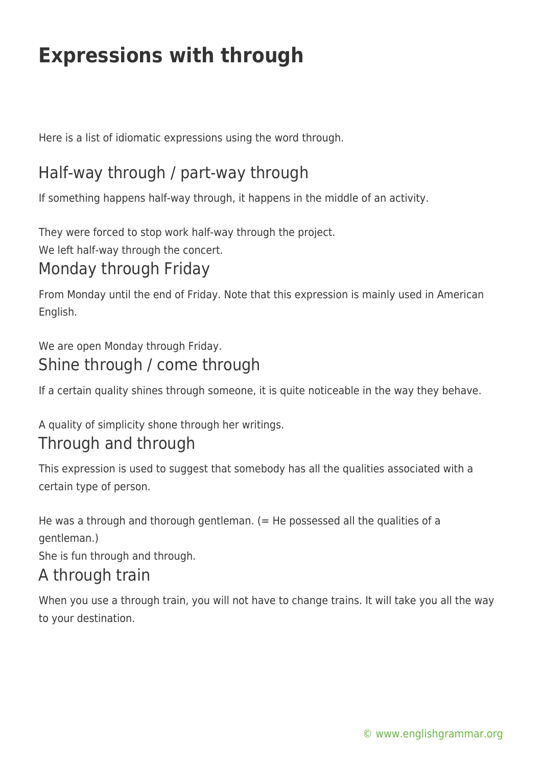# **Expressions with through**

Here is a list of idiomatic expressions using the word through.

## Half-way through / part-way through

If something happens half-way through, it happens in the middle of an activity.

They were forced to stop work half-way through the project.

We left half-way through the concert.

## Monday through Friday

From Monday until the end of Friday. Note that this expression is mainly used in American English.

#### We are open Monday through Friday. Shine through / come through

If a certain quality shines through someone, it is quite noticeable in the way they behave.

A quality of simplicity shone through her writings.

#### Through and through

This expression is used to suggest that somebody has all the qualities associated with a certain type of person.

He was a through and thorough gentleman.  $(=$  He possessed all the qualities of a gentleman.)

She is fun through and through.

#### A through train

When you use a through train, you will not have to change trains. It will take you all the way to your destination.